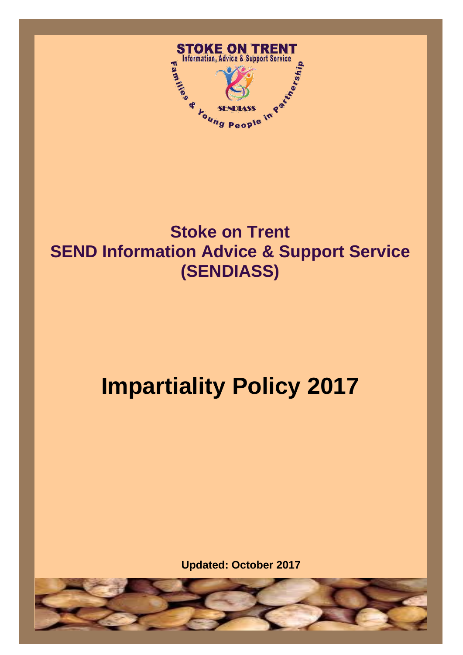

## $\overline{\phantom{0}}$ -<br>, **Stoke on Trent SEND Information Advice & Support Service (SENDIASS)**

# **Impartiality Policy 2017**

**Updated: October 2017**

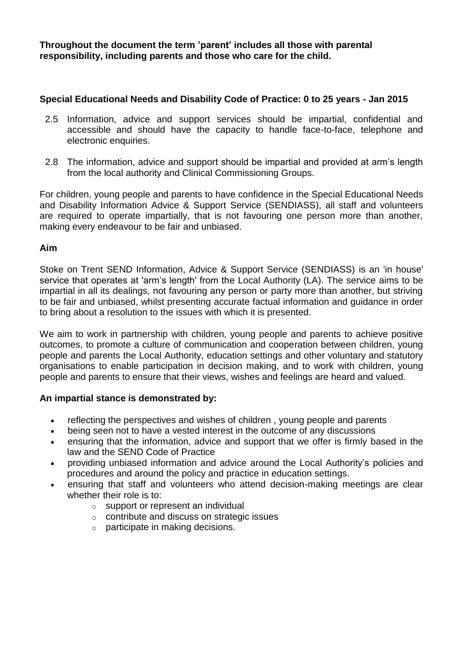**Throughout the document the term 'parent' includes all those with parental responsibility, including parents and those who care for the child.**

## **Special Educational Needs and Disability Code of Practice: 0 to 25 years - Jan 2015**

- 2.5 Information, advice and support services should be impartial, confidential and accessible and should have the capacity to handle face-to-face, telephone and electronic enquiries.
- 2.8 The information, advice and support should be impartial and provided at arm's length from the local authority and Clinical Commissioning Groups.

For children, young people and parents to have confidence in the Special Educational Needs and Disability Information Advice & Support Service (SENDIASS), all staff and volunteers are required to operate impartially, that is not favouring one person more than another, making every endeavour to be fair and unbiased.

## **Aim**

Stoke on Trent SEND Information, Advice & Support Service (SENDIASS) is an 'in house' service that operates at 'arm's length' from the Local Authority (LA). The service aims to be impartial in all its dealings, not favouring any person or party more than another, but striving to be fair and unbiased, whilst presenting accurate factual information and guidance in order to bring about a resolution to the issues with which it is presented.

We aim to work in partnership with children, young people and parents to achieve positive outcomes, to promote a culture of communication and cooperation between children, young people and parents the Local Authority, education settings and other voluntary and statutory organisations to enable participation in decision making, and to work with children, young people and parents to ensure that their views, wishes and feelings are heard and valued.

## **An impartial stance is demonstrated by:**

- reflecting the perspectives and wishes of children, young people and parents
- being seen not to have a vested interest in the outcome of any discussions
- ensuring that the information, advice and support that we offer is firmly based in the law and the SEND Code of Practice
- providing unbiased information and advice around the Local Authority's policies and procedures and around the policy and practice in education settings.
- ensuring that staff and volunteers who attend decision-making meetings are clear whether their role is to:
	- o support or represent an individual
	- o contribute and discuss on strategic issues
	- o participate in making decisions.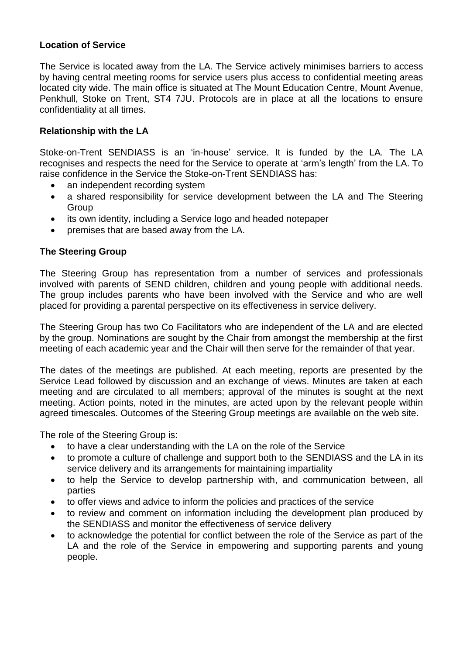## **Location of Service**

The Service is located away from the LA. The Service actively minimises barriers to access by having central meeting rooms for service users plus access to confidential meeting areas located city wide. The main office is situated at The Mount Education Centre, Mount Avenue, Penkhull, Stoke on Trent, ST4 7JU. Protocols are in place at all the locations to ensure confidentiality at all times.

## **Relationship with the LA**

Stoke-on-Trent SENDIASS is an 'in-house' service. It is funded by the LA. The LA recognises and respects the need for the Service to operate at 'arm's length' from the LA. To raise confidence in the Service the Stoke-on-Trent SENDIASS has:

- an independent recording system
- a shared responsibility for service development between the LA and The Steering Group
- its own identity, including a Service logo and headed notepaper
- premises that are based away from the LA.

## **The Steering Group**

The Steering Group has representation from a number of services and professionals involved with parents of SEND children, children and young people with additional needs. The group includes parents who have been involved with the Service and who are well placed for providing a parental perspective on its effectiveness in service delivery.

The Steering Group has two Co Facilitators who are independent of the LA and are elected by the group. Nominations are sought by the Chair from amongst the membership at the first meeting of each academic year and the Chair will then serve for the remainder of that year.

The dates of the meetings are published. At each meeting, reports are presented by the Service Lead followed by discussion and an exchange of views. Minutes are taken at each meeting and are circulated to all members; approval of the minutes is sought at the next meeting. Action points, noted in the minutes, are acted upon by the relevant people within agreed timescales. Outcomes of the Steering Group meetings are available on the web site.

The role of the Steering Group is:

- to have a clear understanding with the LA on the role of the Service
- to promote a culture of challenge and support both to the SENDIASS and the LA in its service delivery and its arrangements for maintaining impartiality
- to help the Service to develop partnership with, and communication between, all parties
- to offer views and advice to inform the policies and practices of the service
- to review and comment on information including the development plan produced by the SENDIASS and monitor the effectiveness of service delivery
- to acknowledge the potential for conflict between the role of the Service as part of the LA and the role of the Service in empowering and supporting parents and young people.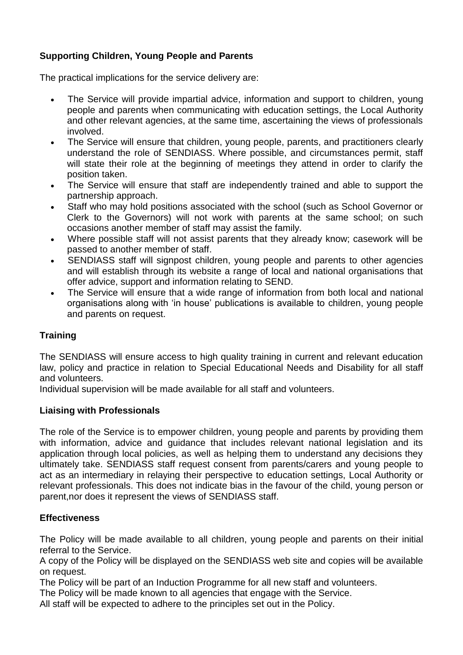## **Supporting Children, Young People and Parents**

The practical implications for the service delivery are:

- The Service will provide impartial advice, information and support to children, young people and parents when communicating with education settings, the Local Authority and other relevant agencies, at the same time, ascertaining the views of professionals involved.
- The Service will ensure that children, young people, parents, and practitioners clearly understand the role of SENDIASS. Where possible, and circumstances permit, staff will state their role at the beginning of meetings they attend in order to clarify the position taken.
- The Service will ensure that staff are independently trained and able to support the partnership approach.
- Staff who may hold positions associated with the school (such as School Governor or Clerk to the Governors) will not work with parents at the same school; on such occasions another member of staff may assist the family.
- Where possible staff will not assist parents that they already know; casework will be passed to another member of staff.
- SENDIASS staff will signpost children, young people and parents to other agencies and will establish through its website a range of local and national organisations that offer advice, support and information relating to SEND.
- The Service will ensure that a wide range of information from both local and national organisations along with 'in house' publications is available to children, young people and parents on request.

## **Training**

The SENDIASS will ensure access to high quality training in current and relevant education law, policy and practice in relation to Special Educational Needs and Disability for all staff and volunteers.

Individual supervision will be made available for all staff and volunteers.

## **Liaising with Professionals**

The role of the Service is to empower children, young people and parents by providing them with information, advice and quidance that includes relevant national legislation and its application through local policies, as well as helping them to understand any decisions they ultimately take. SENDIASS staff request consent from parents/carers and young people to act as an intermediary in relaying their perspective to education settings, Local Authority or relevant professionals. This does not indicate bias in the favour of the child, young person or parent,nor does it represent the views of SENDIASS staff.

## **Effectiveness**

The Policy will be made available to all children, young people and parents on their initial referral to the Service.

A copy of the Policy will be displayed on the SENDIASS web site and copies will be available on request.

The Policy will be part of an Induction Programme for all new staff and volunteers.

The Policy will be made known to all agencies that engage with the Service.

All staff will be expected to adhere to the principles set out in the Policy.